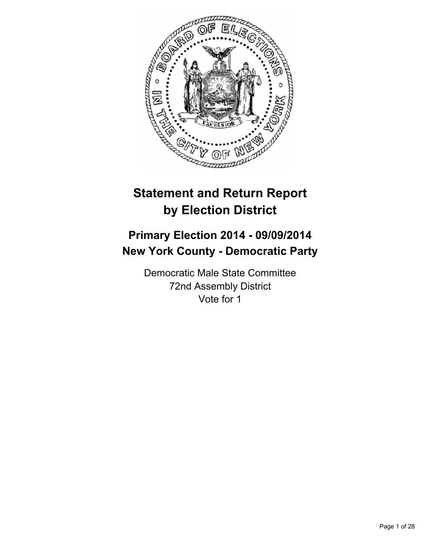

# **Statement and Return Report by Election District**

# **Primary Election 2014 - 09/09/2014 New York County - Democratic Party**

Democratic Male State Committee 72nd Assembly District Vote for 1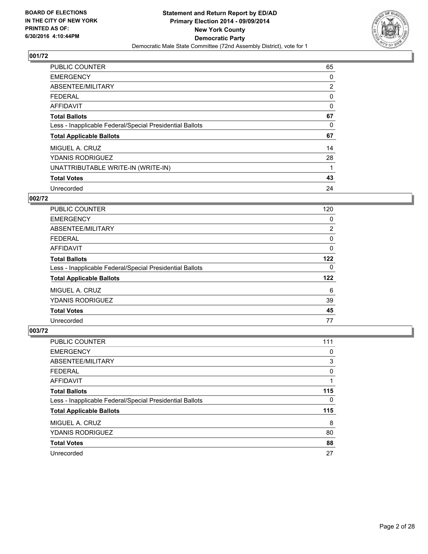

| <b>PUBLIC COUNTER</b>                                    | 65             |
|----------------------------------------------------------|----------------|
| <b>EMERGENCY</b>                                         | 0              |
| ABSENTEE/MILITARY                                        | $\overline{2}$ |
| <b>FEDERAL</b>                                           | 0              |
| <b>AFFIDAVIT</b>                                         | 0              |
| <b>Total Ballots</b>                                     | 67             |
| Less - Inapplicable Federal/Special Presidential Ballots | 0              |
| <b>Total Applicable Ballots</b>                          | 67             |
| MIGUEL A. CRUZ                                           | 14             |
| <b>YDANIS RODRIGUEZ</b>                                  | 28             |
| UNATTRIBUTABLE WRITE-IN (WRITE-IN)                       | 1              |
| <b>Total Votes</b>                                       | 43             |
| Unrecorded                                               | 24             |

#### **002/72**

| <b>PUBLIC COUNTER</b>                                    | 120 |
|----------------------------------------------------------|-----|
| <b>EMERGENCY</b>                                         | 0   |
| ABSENTEE/MILITARY                                        | 2   |
| <b>FEDERAL</b>                                           | 0   |
| AFFIDAVIT                                                | 0   |
| <b>Total Ballots</b>                                     | 122 |
| Less - Inapplicable Federal/Special Presidential Ballots | 0   |
| <b>Total Applicable Ballots</b>                          | 122 |
| MIGUEL A. CRUZ                                           | 6   |
| <b>YDANIS RODRIGUEZ</b>                                  | 39  |
| <b>Total Votes</b>                                       | 45  |
| Unrecorded                                               | 77  |

| PUBLIC COUNTER                                           | 111 |
|----------------------------------------------------------|-----|
| <b>EMERGENCY</b>                                         | 0   |
| ABSENTEE/MILITARY                                        | 3   |
| <b>FEDERAL</b>                                           | 0   |
| <b>AFFIDAVIT</b>                                         |     |
| <b>Total Ballots</b>                                     | 115 |
| Less - Inapplicable Federal/Special Presidential Ballots | 0   |
| <b>Total Applicable Ballots</b>                          | 115 |
| MIGUEL A. CRUZ                                           | 8   |
| <b>YDANIS RODRIGUEZ</b>                                  | 80  |
| <b>Total Votes</b>                                       | 88  |
| Unrecorded                                               | 27  |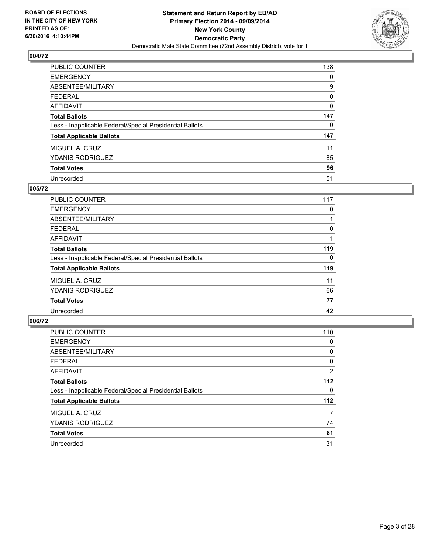

| PUBLIC COUNTER                                           | 138 |
|----------------------------------------------------------|-----|
| <b>EMERGENCY</b>                                         | 0   |
| ABSENTEE/MILITARY                                        | 9   |
| <b>FEDERAL</b>                                           | 0   |
| <b>AFFIDAVIT</b>                                         | 0   |
| <b>Total Ballots</b>                                     | 147 |
| Less - Inapplicable Federal/Special Presidential Ballots | 0   |
| <b>Total Applicable Ballots</b>                          | 147 |
| MIGUEL A. CRUZ                                           | 11  |
| <b>YDANIS RODRIGUEZ</b>                                  | 85  |
| <b>Total Votes</b>                                       | 96  |
| Unrecorded                                               | 51  |

#### **005/72**

| <b>PUBLIC COUNTER</b>                                    | 117 |
|----------------------------------------------------------|-----|
| <b>EMERGENCY</b>                                         | 0   |
| ABSENTEE/MILITARY                                        |     |
| <b>FEDERAL</b>                                           | 0   |
| AFFIDAVIT                                                |     |
| <b>Total Ballots</b>                                     | 119 |
| Less - Inapplicable Federal/Special Presidential Ballots | 0   |
| <b>Total Applicable Ballots</b>                          | 119 |
| MIGUEL A. CRUZ                                           | 11  |
| <b>YDANIS RODRIGUEZ</b>                                  | 66  |
| <b>Total Votes</b>                                       | 77  |
| Unrecorded                                               | 42  |
|                                                          |     |

| PUBLIC COUNTER                                           | 110            |
|----------------------------------------------------------|----------------|
| <b>EMERGENCY</b>                                         | 0              |
| ABSENTEE/MILITARY                                        | 0              |
| <b>FEDERAL</b>                                           | 0              |
| <b>AFFIDAVIT</b>                                         | $\overline{2}$ |
| <b>Total Ballots</b>                                     | 112            |
| Less - Inapplicable Federal/Special Presidential Ballots | 0              |
| <b>Total Applicable Ballots</b>                          | 112            |
| MIGUEL A. CRUZ                                           | 7              |
| <b>YDANIS RODRIGUEZ</b>                                  | 74             |
| <b>Total Votes</b>                                       | 81             |
| Unrecorded                                               | 31             |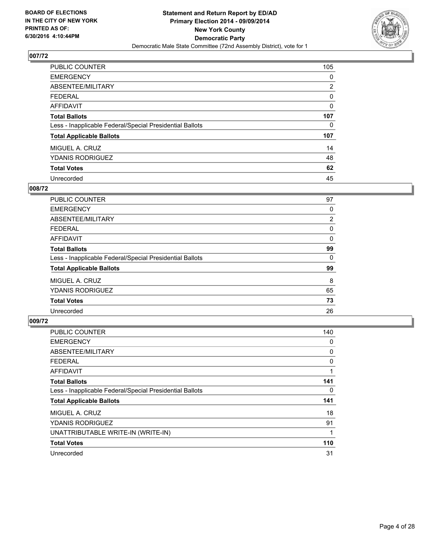

| PUBLIC COUNTER                                           | 105            |
|----------------------------------------------------------|----------------|
| <b>EMERGENCY</b>                                         | 0              |
| ABSENTEE/MILITARY                                        | $\overline{2}$ |
| <b>FEDERAL</b>                                           | 0              |
| <b>AFFIDAVIT</b>                                         | 0              |
| <b>Total Ballots</b>                                     | 107            |
| Less - Inapplicable Federal/Special Presidential Ballots | 0              |
| <b>Total Applicable Ballots</b>                          | 107            |
| MIGUEL A. CRUZ                                           | 14             |
| <b>YDANIS RODRIGUEZ</b>                                  | 48             |
| <b>Total Votes</b>                                       | 62             |
| Unrecorded                                               | 45             |

#### **008/72**

| <b>PUBLIC COUNTER</b>                                    | 97             |
|----------------------------------------------------------|----------------|
| <b>EMERGENCY</b>                                         | 0              |
| ABSENTEE/MILITARY                                        | $\overline{2}$ |
| <b>FEDERAL</b>                                           | 0              |
| <b>AFFIDAVIT</b>                                         | 0              |
| <b>Total Ballots</b>                                     | 99             |
| Less - Inapplicable Federal/Special Presidential Ballots | 0              |
| <b>Total Applicable Ballots</b>                          | 99             |
| MIGUEL A. CRUZ                                           | 8              |
| <b>YDANIS RODRIGUEZ</b>                                  | 65             |
| <b>Total Votes</b>                                       | 73             |
| Unrecorded                                               | 26             |

| <b>PUBLIC COUNTER</b>                                    | 140 |
|----------------------------------------------------------|-----|
| <b>EMERGENCY</b>                                         | 0   |
| ABSENTEE/MILITARY                                        | 0   |
| <b>FEDERAL</b>                                           | 0   |
| <b>AFFIDAVIT</b>                                         |     |
| <b>Total Ballots</b>                                     | 141 |
| Less - Inapplicable Federal/Special Presidential Ballots | 0   |
| <b>Total Applicable Ballots</b>                          | 141 |
| MIGUEL A. CRUZ                                           | 18  |
| <b>YDANIS RODRIGUEZ</b>                                  | 91  |
| UNATTRIBUTABLE WRITE-IN (WRITE-IN)                       |     |
| <b>Total Votes</b>                                       | 110 |
| Unrecorded                                               | 31  |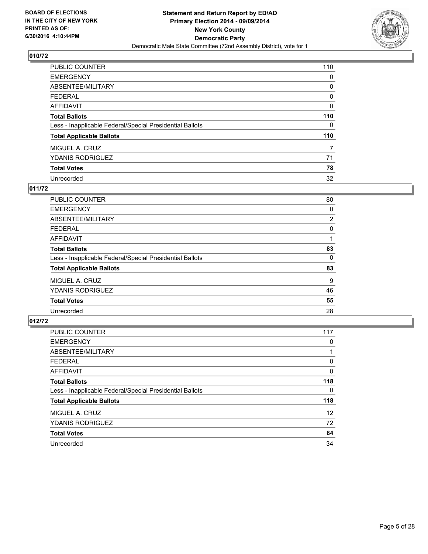

| PUBLIC COUNTER                                           | 110 |
|----------------------------------------------------------|-----|
| <b>EMERGENCY</b>                                         | 0   |
| ABSENTEE/MILITARY                                        | 0   |
| <b>FEDERAL</b>                                           | 0   |
| <b>AFFIDAVIT</b>                                         | 0   |
| <b>Total Ballots</b>                                     | 110 |
| Less - Inapplicable Federal/Special Presidential Ballots | 0   |
| <b>Total Applicable Ballots</b>                          | 110 |
| MIGUEL A. CRUZ                                           | 7   |
| <b>YDANIS RODRIGUEZ</b>                                  | 71  |
| <b>Total Votes</b>                                       | 78  |
| Unrecorded                                               | 32  |

#### **011/72**

| PUBLIC COUNTER                                           | 80             |
|----------------------------------------------------------|----------------|
| <b>EMERGENCY</b>                                         | 0              |
| ABSENTEE/MILITARY                                        | $\overline{2}$ |
| <b>FEDERAL</b>                                           | 0              |
| <b>AFFIDAVIT</b>                                         |                |
| <b>Total Ballots</b>                                     | 83             |
| Less - Inapplicable Federal/Special Presidential Ballots | 0              |
| <b>Total Applicable Ballots</b>                          | 83             |
| MIGUEL A. CRUZ                                           | 9              |
| <b>YDANIS RODRIGUEZ</b>                                  | 46             |
| <b>Total Votes</b>                                       | 55             |
| Unrecorded                                               | 28             |

| PUBLIC COUNTER                                           | 117               |
|----------------------------------------------------------|-------------------|
| <b>EMERGENCY</b>                                         | 0                 |
| ABSENTEE/MILITARY                                        |                   |
| <b>FEDERAL</b>                                           | 0                 |
| <b>AFFIDAVIT</b>                                         | 0                 |
| <b>Total Ballots</b>                                     | 118               |
| Less - Inapplicable Federal/Special Presidential Ballots | 0                 |
| <b>Total Applicable Ballots</b>                          | 118               |
| MIGUEL A. CRUZ                                           | $12 \overline{ }$ |
| <b>YDANIS RODRIGUEZ</b>                                  | 72                |
| <b>Total Votes</b>                                       | 84                |
| Unrecorded                                               | 34                |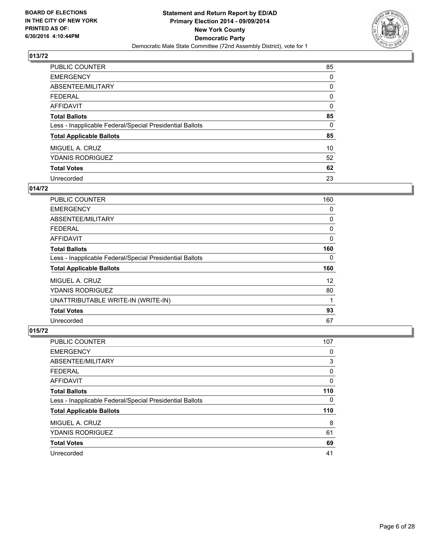

| PUBLIC COUNTER                                           | 85 |
|----------------------------------------------------------|----|
| <b>EMERGENCY</b>                                         | 0  |
| ABSENTEE/MILITARY                                        | 0  |
| <b>FEDERAL</b>                                           | 0  |
| <b>AFFIDAVIT</b>                                         | 0  |
| <b>Total Ballots</b>                                     | 85 |
| Less - Inapplicable Federal/Special Presidential Ballots | 0  |
| <b>Total Applicable Ballots</b>                          | 85 |
| MIGUEL A. CRUZ                                           | 10 |
| <b>YDANIS RODRIGUEZ</b>                                  | 52 |
| <b>Total Votes</b>                                       | 62 |
| Unrecorded                                               | 23 |

#### **014/72**

| <b>PUBLIC COUNTER</b>                                    | 160 |
|----------------------------------------------------------|-----|
| <b>EMERGENCY</b>                                         | 0   |
| ABSENTEE/MILITARY                                        | 0   |
| <b>FEDERAL</b>                                           | 0   |
| AFFIDAVIT                                                | 0   |
| <b>Total Ballots</b>                                     | 160 |
| Less - Inapplicable Federal/Special Presidential Ballots | 0   |
| <b>Total Applicable Ballots</b>                          | 160 |
| MIGUEL A. CRUZ                                           | 12  |
| <b>YDANIS RODRIGUEZ</b>                                  | 80  |
| UNATTRIBUTABLE WRITE-IN (WRITE-IN)                       | 1   |
| <b>Total Votes</b>                                       | 93  |
| Unrecorded                                               | 67  |

| <b>PUBLIC COUNTER</b>                                    | 107 |
|----------------------------------------------------------|-----|
| <b>EMERGENCY</b>                                         | 0   |
| ABSENTEE/MILITARY                                        | 3   |
| <b>FEDERAL</b>                                           | 0   |
| AFFIDAVIT                                                | 0   |
| <b>Total Ballots</b>                                     | 110 |
| Less - Inapplicable Federal/Special Presidential Ballots | 0   |
| <b>Total Applicable Ballots</b>                          | 110 |
| MIGUEL A. CRUZ                                           | 8   |
| <b>YDANIS RODRIGUEZ</b>                                  | 61  |
| <b>Total Votes</b>                                       | 69  |
| Unrecorded                                               | 41  |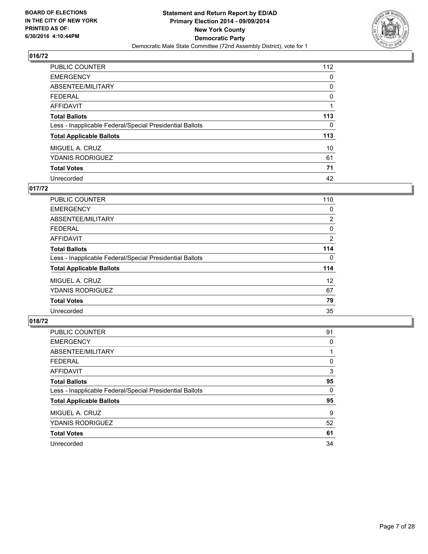

| PUBLIC COUNTER                                           | 112 |
|----------------------------------------------------------|-----|
| <b>EMERGENCY</b>                                         | 0   |
| ABSENTEE/MILITARY                                        | 0   |
| <b>FEDERAL</b>                                           | 0   |
| <b>AFFIDAVIT</b>                                         |     |
| <b>Total Ballots</b>                                     | 113 |
| Less - Inapplicable Federal/Special Presidential Ballots | 0   |
| <b>Total Applicable Ballots</b>                          | 113 |
| MIGUEL A. CRUZ                                           | 10  |
| <b>YDANIS RODRIGUEZ</b>                                  | 61  |
| <b>Total Votes</b>                                       | 71  |
| Unrecorded                                               | 42  |

#### **017/72**

| PUBLIC COUNTER                                           | 110            |
|----------------------------------------------------------|----------------|
| <b>EMERGENCY</b>                                         | 0              |
| ABSENTEE/MILITARY                                        | $\overline{2}$ |
| FEDERAL                                                  | 0              |
| <b>AFFIDAVIT</b>                                         | 2              |
| <b>Total Ballots</b>                                     | 114            |
| Less - Inapplicable Federal/Special Presidential Ballots | 0              |
| <b>Total Applicable Ballots</b>                          | 114            |
| MIGUEL A. CRUZ                                           | 12             |
| <b>YDANIS RODRIGUEZ</b>                                  | 67             |
| <b>Total Votes</b>                                       | 79             |
| Unrecorded                                               | 35             |

| PUBLIC COUNTER                                           | 91 |
|----------------------------------------------------------|----|
| <b>EMERGENCY</b>                                         | 0  |
| ABSENTEE/MILITARY                                        |    |
| <b>FEDERAL</b>                                           | 0  |
| AFFIDAVIT                                                | 3  |
| <b>Total Ballots</b>                                     | 95 |
| Less - Inapplicable Federal/Special Presidential Ballots | 0  |
| <b>Total Applicable Ballots</b>                          | 95 |
| MIGUEL A. CRUZ                                           | 9  |
| <b>YDANIS RODRIGUEZ</b>                                  | 52 |
| <b>Total Votes</b>                                       | 61 |
| Unrecorded                                               | 34 |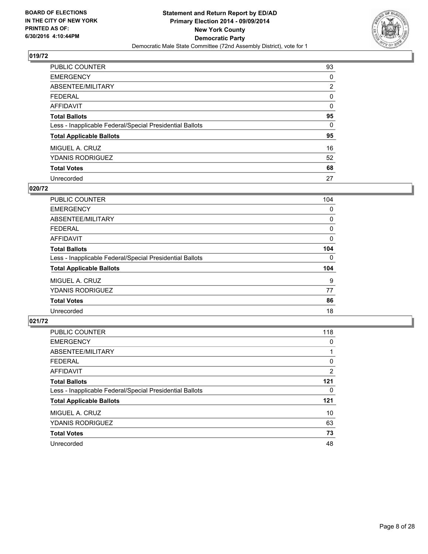

| PUBLIC COUNTER                                           | 93 |
|----------------------------------------------------------|----|
| <b>EMERGENCY</b>                                         | 0  |
| ABSENTEE/MILITARY                                        | 2  |
| <b>FEDERAL</b>                                           | 0  |
| <b>AFFIDAVIT</b>                                         | 0  |
| <b>Total Ballots</b>                                     | 95 |
| Less - Inapplicable Federal/Special Presidential Ballots | 0  |
| <b>Total Applicable Ballots</b>                          | 95 |
| MIGUEL A. CRUZ                                           | 16 |
| <b>YDANIS RODRIGUEZ</b>                                  | 52 |
| <b>Total Votes</b>                                       | 68 |
| Unrecorded                                               | 27 |

#### **020/72**

| PUBLIC COUNTER                                           | 104 |
|----------------------------------------------------------|-----|
| <b>EMERGENCY</b>                                         | 0   |
| ABSENTEE/MILITARY                                        | 0   |
| FEDERAL                                                  | 0   |
| AFFIDAVIT                                                | 0   |
| <b>Total Ballots</b>                                     | 104 |
| Less - Inapplicable Federal/Special Presidential Ballots | 0   |
| <b>Total Applicable Ballots</b>                          | 104 |
| MIGUEL A. CRUZ                                           | 9   |
| <b>YDANIS RODRIGUEZ</b>                                  | 77  |
| <b>Total Votes</b>                                       | 86  |
| Unrecorded                                               | 18  |

| PUBLIC COUNTER                                           | 118            |
|----------------------------------------------------------|----------------|
| <b>EMERGENCY</b>                                         | 0              |
| ABSENTEE/MILITARY                                        |                |
| <b>FEDERAL</b>                                           | 0              |
| <b>AFFIDAVIT</b>                                         | $\overline{2}$ |
| <b>Total Ballots</b>                                     | 121            |
| Less - Inapplicable Federal/Special Presidential Ballots | 0              |
| <b>Total Applicable Ballots</b>                          | 121            |
| MIGUEL A. CRUZ                                           | 10             |
| <b>YDANIS RODRIGUEZ</b>                                  | 63             |
| <b>Total Votes</b>                                       | 73             |
| Unrecorded                                               | 48             |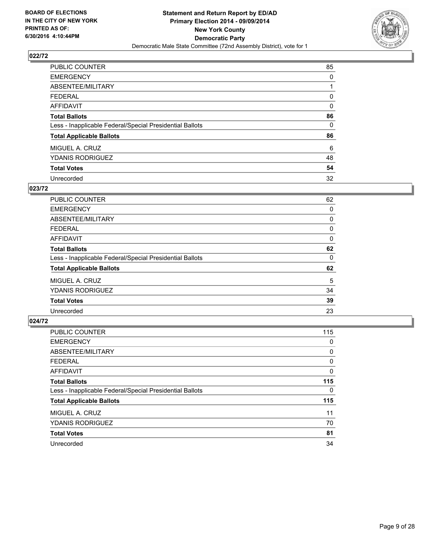

| PUBLIC COUNTER                                           | 85 |
|----------------------------------------------------------|----|
| <b>EMERGENCY</b>                                         | 0  |
| ABSENTEE/MILITARY                                        |    |
| <b>FEDERAL</b>                                           | 0  |
| <b>AFFIDAVIT</b>                                         | 0  |
| <b>Total Ballots</b>                                     | 86 |
| Less - Inapplicable Federal/Special Presidential Ballots | 0  |
| <b>Total Applicable Ballots</b>                          | 86 |
| MIGUEL A. CRUZ                                           | 6  |
| <b>YDANIS RODRIGUEZ</b>                                  | 48 |
| <b>Total Votes</b>                                       | 54 |
| Unrecorded                                               | 32 |

#### **023/72**

| PUBLIC COUNTER                                           | 62 |
|----------------------------------------------------------|----|
| <b>EMERGENCY</b>                                         | 0  |
| ABSENTEE/MILITARY                                        | 0  |
| <b>FEDERAL</b>                                           | 0  |
| <b>AFFIDAVIT</b>                                         | 0  |
| <b>Total Ballots</b>                                     | 62 |
| Less - Inapplicable Federal/Special Presidential Ballots | 0  |
| <b>Total Applicable Ballots</b>                          | 62 |
| MIGUEL A. CRUZ                                           | 5  |
| <b>YDANIS RODRIGUEZ</b>                                  | 34 |
| <b>Total Votes</b>                                       | 39 |
| Unrecorded                                               | 23 |
|                                                          |    |

| PUBLIC COUNTER                                           | 115 |
|----------------------------------------------------------|-----|
| <b>EMERGENCY</b>                                         | 0   |
| ABSENTEE/MILITARY                                        | 0   |
| <b>FEDERAL</b>                                           | 0   |
| <b>AFFIDAVIT</b>                                         | 0   |
| <b>Total Ballots</b>                                     | 115 |
| Less - Inapplicable Federal/Special Presidential Ballots | 0   |
| <b>Total Applicable Ballots</b>                          | 115 |
| MIGUEL A. CRUZ                                           | 11  |
| <b>YDANIS RODRIGUEZ</b>                                  | 70  |
| <b>Total Votes</b>                                       | 81  |
| Unrecorded                                               | 34  |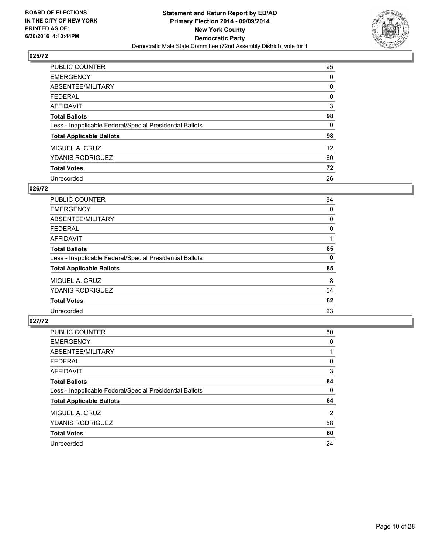

| PUBLIC COUNTER                                           | 95              |
|----------------------------------------------------------|-----------------|
| <b>EMERGENCY</b>                                         | 0               |
| ABSENTEE/MILITARY                                        | 0               |
| <b>FEDERAL</b>                                           | 0               |
| <b>AFFIDAVIT</b>                                         | 3               |
| <b>Total Ballots</b>                                     | 98              |
| Less - Inapplicable Federal/Special Presidential Ballots | 0               |
| <b>Total Applicable Ballots</b>                          | 98              |
| MIGUEL A. CRUZ                                           | 12 <sup>2</sup> |
| <b>YDANIS RODRIGUEZ</b>                                  | 60              |
| <b>Total Votes</b>                                       | 72              |
| Unrecorded                                               | 26              |

#### **026/72**

| PUBLIC COUNTER                                           | 84 |
|----------------------------------------------------------|----|
| <b>EMERGENCY</b>                                         | 0  |
| ABSENTEE/MILITARY                                        | 0  |
| FEDERAL                                                  | 0  |
| <b>AFFIDAVIT</b>                                         |    |
| <b>Total Ballots</b>                                     | 85 |
| Less - Inapplicable Federal/Special Presidential Ballots | 0  |
| <b>Total Applicable Ballots</b>                          | 85 |
| MIGUEL A. CRUZ                                           | 8  |
| <b>YDANIS RODRIGUEZ</b>                                  | 54 |
| <b>Total Votes</b>                                       | 62 |
| Unrecorded                                               | 23 |

| PUBLIC COUNTER                                           | 80 |
|----------------------------------------------------------|----|
| <b>EMERGENCY</b>                                         | 0  |
| ABSENTEE/MILITARY                                        |    |
| <b>FEDERAL</b>                                           | 0  |
| <b>AFFIDAVIT</b>                                         | 3  |
| <b>Total Ballots</b>                                     | 84 |
| Less - Inapplicable Federal/Special Presidential Ballots | 0  |
| <b>Total Applicable Ballots</b>                          | 84 |
| MIGUEL A. CRUZ                                           | 2  |
| <b>YDANIS RODRIGUEZ</b>                                  | 58 |
| <b>Total Votes</b>                                       | 60 |
| Unrecorded                                               | 24 |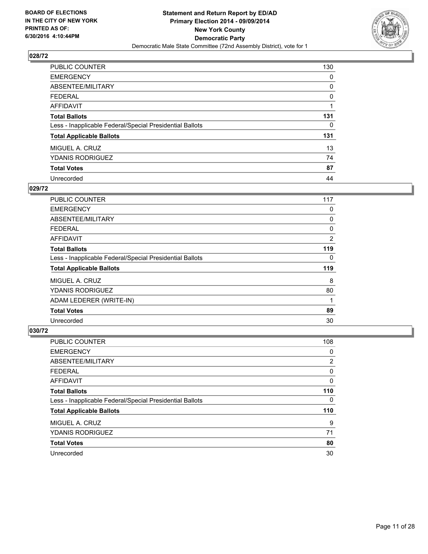

| PUBLIC COUNTER                                           | 130 |
|----------------------------------------------------------|-----|
| <b>EMERGENCY</b>                                         | 0   |
| ABSENTEE/MILITARY                                        | 0   |
| <b>FEDERAL</b>                                           | 0   |
| AFFIDAVIT                                                |     |
| <b>Total Ballots</b>                                     | 131 |
| Less - Inapplicable Federal/Special Presidential Ballots | 0   |
| <b>Total Applicable Ballots</b>                          | 131 |
| MIGUEL A. CRUZ                                           | 13  |
| <b>YDANIS RODRIGUEZ</b>                                  | 74  |
| <b>Total Votes</b>                                       | 87  |
| Unrecorded                                               | 44  |

#### **029/72**

| <b>PUBLIC COUNTER</b>                                    | 117            |
|----------------------------------------------------------|----------------|
| <b>EMERGENCY</b>                                         | 0              |
| ABSENTEE/MILITARY                                        | 0              |
| <b>FEDERAL</b>                                           | 0              |
| AFFIDAVIT                                                | $\overline{2}$ |
| <b>Total Ballots</b>                                     | 119            |
| Less - Inapplicable Federal/Special Presidential Ballots | 0              |
| <b>Total Applicable Ballots</b>                          | 119            |
| MIGUEL A. CRUZ                                           | 8              |
| <b>YDANIS RODRIGUEZ</b>                                  | 80             |
| ADAM LEDERER (WRITE-IN)                                  | 1              |
| <b>Total Votes</b>                                       | 89             |
| Unrecorded                                               | 30             |

| <b>PUBLIC COUNTER</b>                                    | 108 |
|----------------------------------------------------------|-----|
| <b>EMERGENCY</b>                                         | 0   |
| ABSENTEE/MILITARY                                        | 2   |
| FEDERAL                                                  | 0   |
| AFFIDAVIT                                                | 0   |
| <b>Total Ballots</b>                                     | 110 |
| Less - Inapplicable Federal/Special Presidential Ballots | 0   |
| <b>Total Applicable Ballots</b>                          | 110 |
| MIGUEL A. CRUZ                                           | 9   |
| <b>YDANIS RODRIGUEZ</b>                                  | 71  |
| <b>Total Votes</b>                                       | 80  |
| Unrecorded                                               | 30  |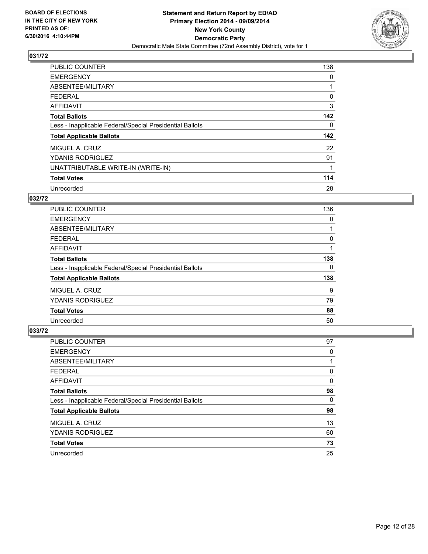

| <b>PUBLIC COUNTER</b>                                    | 138 |
|----------------------------------------------------------|-----|
| <b>EMERGENCY</b>                                         | 0   |
| ABSENTEE/MILITARY                                        |     |
| <b>FEDERAL</b>                                           | 0   |
| <b>AFFIDAVIT</b>                                         | 3   |
| <b>Total Ballots</b>                                     | 142 |
| Less - Inapplicable Federal/Special Presidential Ballots | 0   |
| <b>Total Applicable Ballots</b>                          | 142 |
| MIGUEL A. CRUZ                                           | 22  |
| <b>YDANIS RODRIGUEZ</b>                                  | 91  |
| UNATTRIBUTABLE WRITE-IN (WRITE-IN)                       | 1   |
| <b>Total Votes</b>                                       | 114 |
| Unrecorded                                               | 28  |

#### **032/72**

| <b>PUBLIC COUNTER</b>                                    | 136 |
|----------------------------------------------------------|-----|
| <b>EMERGENCY</b>                                         | 0   |
| ABSENTEE/MILITARY                                        |     |
| <b>FEDERAL</b>                                           | 0   |
| AFFIDAVIT                                                |     |
| <b>Total Ballots</b>                                     | 138 |
| Less - Inapplicable Federal/Special Presidential Ballots | 0   |
| <b>Total Applicable Ballots</b>                          | 138 |
| MIGUEL A. CRUZ                                           | 9   |
| <b>YDANIS RODRIGUEZ</b>                                  | 79  |
| <b>Total Votes</b>                                       | 88  |
| Unrecorded                                               | 50  |

| PUBLIC COUNTER                                           | 97 |
|----------------------------------------------------------|----|
| <b>EMERGENCY</b>                                         | 0  |
| ABSENTEE/MILITARY                                        |    |
| <b>FEDERAL</b>                                           | 0  |
| AFFIDAVIT                                                | 0  |
| <b>Total Ballots</b>                                     | 98 |
| Less - Inapplicable Federal/Special Presidential Ballots | 0  |
| <b>Total Applicable Ballots</b>                          | 98 |
| MIGUEL A. CRUZ                                           | 13 |
| <b>YDANIS RODRIGUEZ</b>                                  | 60 |
| <b>Total Votes</b>                                       | 73 |
| Unrecorded                                               | 25 |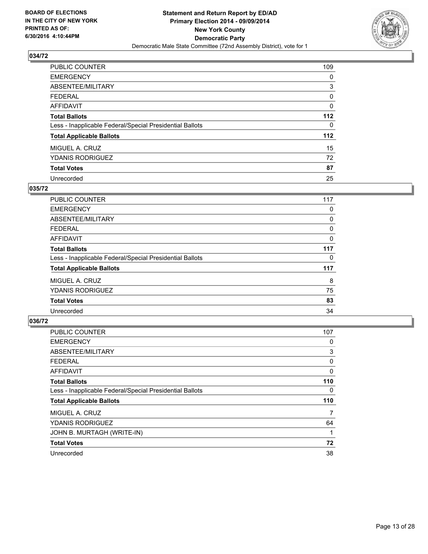

| PUBLIC COUNTER                                           | 109 |
|----------------------------------------------------------|-----|
| <b>EMERGENCY</b>                                         | 0   |
| ABSENTEE/MILITARY                                        | 3   |
| <b>FEDERAL</b>                                           | 0   |
| <b>AFFIDAVIT</b>                                         | 0   |
| <b>Total Ballots</b>                                     | 112 |
| Less - Inapplicable Federal/Special Presidential Ballots | 0   |
| <b>Total Applicable Ballots</b>                          | 112 |
| MIGUEL A. CRUZ                                           | 15  |
| <b>YDANIS RODRIGUEZ</b>                                  | 72  |
| <b>Total Votes</b>                                       | 87  |
| Unrecorded                                               | 25  |

#### **035/72**

| PUBLIC COUNTER                                           | 117 |
|----------------------------------------------------------|-----|
| <b>EMERGENCY</b>                                         | 0   |
| ABSENTEE/MILITARY                                        | 0   |
| FEDERAL                                                  | 0   |
| <b>AFFIDAVIT</b>                                         | 0   |
| <b>Total Ballots</b>                                     | 117 |
| Less - Inapplicable Federal/Special Presidential Ballots | 0   |
| <b>Total Applicable Ballots</b>                          | 117 |
| MIGUEL A. CRUZ                                           | 8   |
| <b>YDANIS RODRIGUEZ</b>                                  | 75  |
| <b>Total Votes</b>                                       | 83  |
| Unrecorded                                               | 34  |

| PUBLIC COUNTER                                           | 107 |
|----------------------------------------------------------|-----|
| <b>EMERGENCY</b>                                         | 0   |
| ABSENTEE/MILITARY                                        | 3   |
| <b>FEDERAL</b>                                           | 0   |
| <b>AFFIDAVIT</b>                                         | 0   |
| <b>Total Ballots</b>                                     | 110 |
| Less - Inapplicable Federal/Special Presidential Ballots | 0   |
| <b>Total Applicable Ballots</b>                          | 110 |
| MIGUEL A. CRUZ                                           | 7   |
| <b>YDANIS RODRIGUEZ</b>                                  | 64  |
| JOHN B. MURTAGH (WRITE-IN)                               |     |
| <b>Total Votes</b>                                       | 72  |
| Unrecorded                                               | 38  |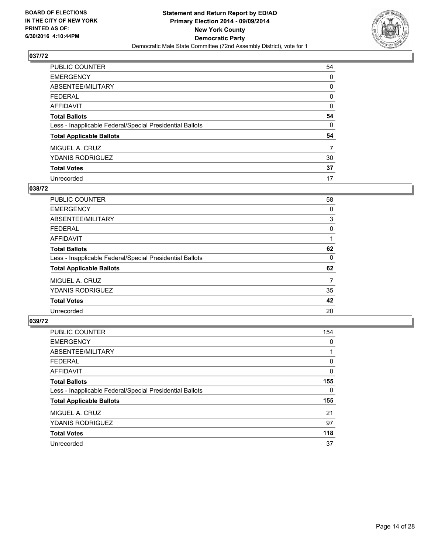

| PUBLIC COUNTER                                           | 54 |
|----------------------------------------------------------|----|
| <b>EMERGENCY</b>                                         | 0  |
| ABSENTEE/MILITARY                                        | 0  |
| <b>FEDERAL</b>                                           | 0  |
| AFFIDAVIT                                                | 0  |
| <b>Total Ballots</b>                                     | 54 |
| Less - Inapplicable Federal/Special Presidential Ballots | 0  |
| <b>Total Applicable Ballots</b>                          | 54 |
| MIGUEL A. CRUZ                                           | 7  |
| <b>YDANIS RODRIGUEZ</b>                                  | 30 |
| <b>Total Votes</b>                                       | 37 |
| Unrecorded                                               | 17 |

#### **038/72**

| PUBLIC COUNTER                                           | 58 |
|----------------------------------------------------------|----|
| <b>EMERGENCY</b>                                         | 0  |
| ABSENTEE/MILITARY                                        | 3  |
| <b>FEDERAL</b>                                           | 0  |
| AFFIDAVIT                                                |    |
| <b>Total Ballots</b>                                     | 62 |
| Less - Inapplicable Federal/Special Presidential Ballots | 0  |
| <b>Total Applicable Ballots</b>                          | 62 |
| MIGUEL A. CRUZ                                           | 7  |
| <b>YDANIS RODRIGUEZ</b>                                  | 35 |
| <b>Total Votes</b>                                       | 42 |
| Unrecorded                                               | 20 |
|                                                          |    |

| PUBLIC COUNTER                                           | 154 |
|----------------------------------------------------------|-----|
| <b>EMERGENCY</b>                                         | 0   |
| ABSENTEE/MILITARY                                        |     |
| <b>FEDERAL</b>                                           | 0   |
| <b>AFFIDAVIT</b>                                         | 0   |
| <b>Total Ballots</b>                                     | 155 |
| Less - Inapplicable Federal/Special Presidential Ballots | 0   |
| <b>Total Applicable Ballots</b>                          | 155 |
| MIGUEL A. CRUZ                                           | 21  |
| <b>YDANIS RODRIGUEZ</b>                                  | 97  |
| <b>Total Votes</b>                                       | 118 |
| Unrecorded                                               | 37  |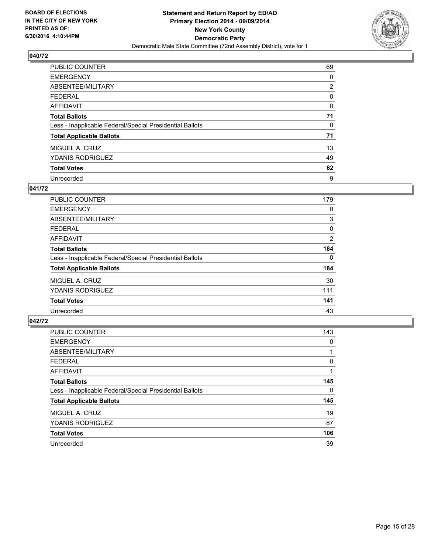

| PUBLIC COUNTER                                           | 69 |
|----------------------------------------------------------|----|
| <b>EMERGENCY</b>                                         | 0  |
| ABSENTEE/MILITARY                                        | 2  |
| <b>FEDERAL</b>                                           | 0  |
| <b>AFFIDAVIT</b>                                         | 0  |
| <b>Total Ballots</b>                                     | 71 |
| Less - Inapplicable Federal/Special Presidential Ballots | 0  |
| <b>Total Applicable Ballots</b>                          | 71 |
| MIGUEL A. CRUZ                                           | 13 |
| <b>YDANIS RODRIGUEZ</b>                                  | 49 |
| <b>Total Votes</b>                                       | 62 |
| Unrecorded                                               | 9  |

#### **041/72**

| <b>PUBLIC COUNTER</b>                                    | 179 |
|----------------------------------------------------------|-----|
| <b>EMERGENCY</b>                                         | 0   |
| ABSENTEE/MILITARY                                        | 3   |
| FEDERAL                                                  | 0   |
| AFFIDAVIT                                                | 2   |
| <b>Total Ballots</b>                                     | 184 |
| Less - Inapplicable Federal/Special Presidential Ballots | 0   |
| <b>Total Applicable Ballots</b>                          | 184 |
| MIGUEL A. CRUZ                                           | 30  |
| YDANIS RODRIGUEZ                                         | 111 |
| <b>Total Votes</b>                                       | 141 |
| Unrecorded                                               | 43  |

| PUBLIC COUNTER                                           | 143 |
|----------------------------------------------------------|-----|
| <b>EMERGENCY</b>                                         | 0   |
| ABSENTEE/MILITARY                                        |     |
| <b>FEDERAL</b>                                           | 0   |
| <b>AFFIDAVIT</b>                                         |     |
| <b>Total Ballots</b>                                     | 145 |
| Less - Inapplicable Federal/Special Presidential Ballots | 0   |
| <b>Total Applicable Ballots</b>                          | 145 |
| MIGUEL A. CRUZ                                           | 19  |
| <b>YDANIS RODRIGUEZ</b>                                  | 87  |
| <b>Total Votes</b>                                       | 106 |
| Unrecorded                                               | 39  |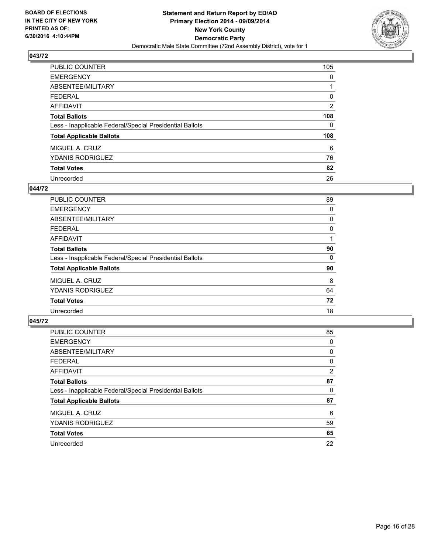

| PUBLIC COUNTER                                           | 105            |
|----------------------------------------------------------|----------------|
| <b>EMERGENCY</b>                                         | 0              |
| ABSENTEE/MILITARY                                        |                |
| <b>FEDERAL</b>                                           | 0              |
| <b>AFFIDAVIT</b>                                         | $\overline{2}$ |
| <b>Total Ballots</b>                                     | 108            |
| Less - Inapplicable Federal/Special Presidential Ballots | 0              |
| <b>Total Applicable Ballots</b>                          | 108            |
| MIGUEL A. CRUZ                                           | 6              |
| <b>YDANIS RODRIGUEZ</b>                                  | 76             |
| <b>Total Votes</b>                                       | 82             |
| Unrecorded                                               | 26             |

#### **044/72**

| PUBLIC COUNTER                                           | 89 |
|----------------------------------------------------------|----|
| <b>EMERGENCY</b>                                         | 0  |
| ABSENTEE/MILITARY                                        | 0  |
| FEDERAL                                                  | 0  |
| <b>AFFIDAVIT</b>                                         |    |
| <b>Total Ballots</b>                                     | 90 |
| Less - Inapplicable Federal/Special Presidential Ballots | 0  |
| <b>Total Applicable Ballots</b>                          | 90 |
| MIGUEL A. CRUZ                                           | 8  |
| <b>YDANIS RODRIGUEZ</b>                                  | 64 |
| <b>Total Votes</b>                                       | 72 |
| Unrecorded                                               | 18 |

| PUBLIC COUNTER                                           | 85                    |
|----------------------------------------------------------|-----------------------|
| <b>EMERGENCY</b>                                         | 0                     |
| ABSENTEE/MILITARY                                        | 0                     |
| <b>FEDERAL</b>                                           | 0                     |
| <b>AFFIDAVIT</b>                                         | $\mathbf{2}^{\prime}$ |
| <b>Total Ballots</b>                                     | 87                    |
| Less - Inapplicable Federal/Special Presidential Ballots | 0                     |
| <b>Total Applicable Ballots</b>                          | 87                    |
| MIGUEL A. CRUZ                                           | 6                     |
| <b>YDANIS RODRIGUEZ</b>                                  | 59                    |
| <b>Total Votes</b>                                       | 65                    |
| Unrecorded                                               | 22                    |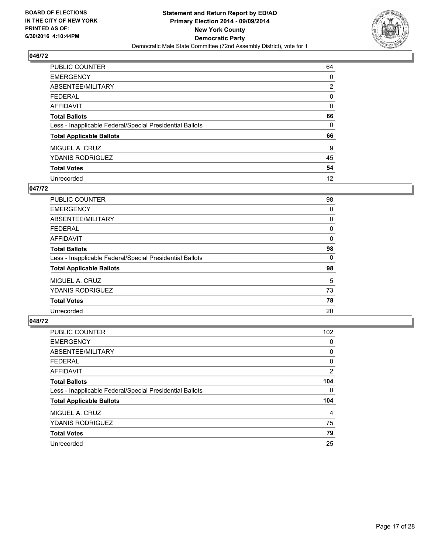

| PUBLIC COUNTER                                           | 64 |
|----------------------------------------------------------|----|
| <b>EMERGENCY</b>                                         | 0  |
| ABSENTEE/MILITARY                                        | 2  |
| <b>FEDERAL</b>                                           | 0  |
| <b>AFFIDAVIT</b>                                         | 0  |
| <b>Total Ballots</b>                                     | 66 |
| Less - Inapplicable Federal/Special Presidential Ballots | 0  |
| <b>Total Applicable Ballots</b>                          | 66 |
| MIGUEL A. CRUZ                                           | 9  |
| <b>YDANIS RODRIGUEZ</b>                                  | 45 |
| <b>Total Votes</b>                                       | 54 |
| Unrecorded                                               | 12 |

#### **047/72**

| <b>PUBLIC COUNTER</b>                                    | 98 |
|----------------------------------------------------------|----|
| <b>EMERGENCY</b>                                         | 0  |
| ABSENTEE/MILITARY                                        | 0  |
| <b>FEDERAL</b>                                           | 0  |
| <b>AFFIDAVIT</b>                                         | 0  |
| <b>Total Ballots</b>                                     | 98 |
| Less - Inapplicable Federal/Special Presidential Ballots | 0  |
| <b>Total Applicable Ballots</b>                          | 98 |
| MIGUEL A. CRUZ                                           | 5  |
| <b>YDANIS RODRIGUEZ</b>                                  | 73 |
| <b>Total Votes</b>                                       | 78 |
| Unrecorded                                               | 20 |

| PUBLIC COUNTER                                           | 102 |
|----------------------------------------------------------|-----|
| <b>EMERGENCY</b>                                         | 0   |
| ABSENTEE/MILITARY                                        | 0   |
| <b>FEDERAL</b>                                           | 0   |
| <b>AFFIDAVIT</b>                                         | 2   |
| <b>Total Ballots</b>                                     | 104 |
| Less - Inapplicable Federal/Special Presidential Ballots | 0   |
| <b>Total Applicable Ballots</b>                          | 104 |
| MIGUEL A. CRUZ                                           | 4   |
| <b>YDANIS RODRIGUEZ</b>                                  | 75  |
| <b>Total Votes</b>                                       | 79  |
| Unrecorded                                               | 25  |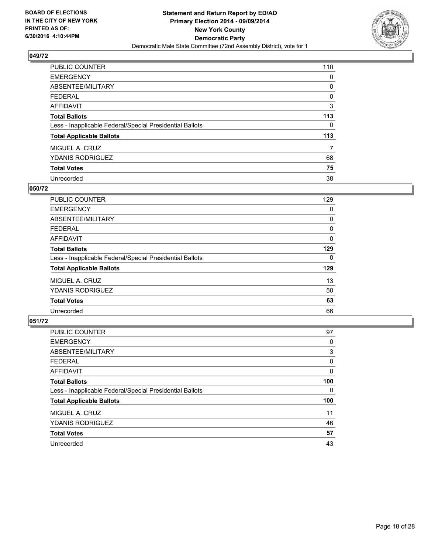

| PUBLIC COUNTER                                           | 110 |
|----------------------------------------------------------|-----|
| <b>EMERGENCY</b>                                         | 0   |
| ABSENTEE/MILITARY                                        | 0   |
| <b>FEDERAL</b>                                           | 0   |
| AFFIDAVIT                                                | 3   |
| <b>Total Ballots</b>                                     | 113 |
| Less - Inapplicable Federal/Special Presidential Ballots | 0   |
| <b>Total Applicable Ballots</b>                          | 113 |
| MIGUEL A. CRUZ                                           | 7   |
| <b>YDANIS RODRIGUEZ</b>                                  | 68  |
| <b>Total Votes</b>                                       | 75  |
| Unrecorded                                               | 38  |

#### **050/72**

| <b>PUBLIC COUNTER</b>                                    | 129 |
|----------------------------------------------------------|-----|
| <b>EMERGENCY</b>                                         | 0   |
| ABSENTEE/MILITARY                                        | 0   |
| FEDERAL                                                  | 0   |
| AFFIDAVIT                                                | 0   |
| <b>Total Ballots</b>                                     | 129 |
| Less - Inapplicable Federal/Special Presidential Ballots | 0   |
| <b>Total Applicable Ballots</b>                          | 129 |
| MIGUEL A. CRUZ                                           | 13  |
| <b>YDANIS RODRIGUEZ</b>                                  | 50  |
| <b>Total Votes</b>                                       | 63  |
| Unrecorded                                               | 66  |

| <b>PUBLIC COUNTER</b>                                    | 97  |
|----------------------------------------------------------|-----|
| <b>EMERGENCY</b>                                         | 0   |
| ABSENTEE/MILITARY                                        | 3   |
| <b>FEDERAL</b>                                           | 0   |
| AFFIDAVIT                                                | 0   |
| <b>Total Ballots</b>                                     | 100 |
| Less - Inapplicable Federal/Special Presidential Ballots | 0   |
| <b>Total Applicable Ballots</b>                          | 100 |
| MIGUEL A. CRUZ                                           | 11  |
| <b>YDANIS RODRIGUEZ</b>                                  | 46  |
| <b>Total Votes</b>                                       | 57  |
| Unrecorded                                               | 43  |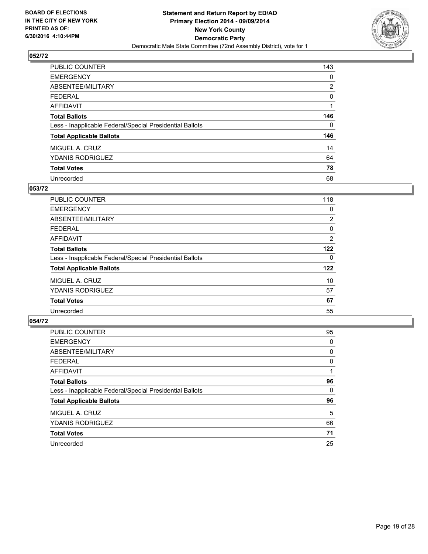

| <b>PUBLIC COUNTER</b>                                    | 143            |
|----------------------------------------------------------|----------------|
| <b>EMERGENCY</b>                                         | 0              |
| ABSENTEE/MILITARY                                        | $\overline{2}$ |
| <b>FEDERAL</b>                                           | 0              |
| AFFIDAVIT                                                |                |
| <b>Total Ballots</b>                                     | 146            |
| Less - Inapplicable Federal/Special Presidential Ballots | 0              |
| <b>Total Applicable Ballots</b>                          | 146            |
| MIGUEL A. CRUZ                                           | 14             |
| <b>YDANIS RODRIGUEZ</b>                                  | 64             |
| <b>Total Votes</b>                                       | 78             |
| Unrecorded                                               | 68             |

#### **053/72**

| PUBLIC COUNTER                                           | 118            |
|----------------------------------------------------------|----------------|
| <b>EMERGENCY</b>                                         | 0              |
| ABSENTEE/MILITARY                                        | $\overline{2}$ |
| FEDERAL                                                  | 0              |
| AFFIDAVIT                                                | 2              |
| <b>Total Ballots</b>                                     | 122            |
| Less - Inapplicable Federal/Special Presidential Ballots | 0              |
| <b>Total Applicable Ballots</b>                          | 122            |
| MIGUEL A. CRUZ                                           | 10             |
| <b>YDANIS RODRIGUEZ</b>                                  | 57             |
| <b>Total Votes</b>                                       | 67             |
| Unrecorded                                               | 55             |

| <b>PUBLIC COUNTER</b>                                    | 95 |
|----------------------------------------------------------|----|
| <b>EMERGENCY</b>                                         | 0  |
| ABSENTEE/MILITARY                                        | 0  |
| <b>FEDERAL</b>                                           | 0  |
| AFFIDAVIT                                                |    |
| <b>Total Ballots</b>                                     | 96 |
| Less - Inapplicable Federal/Special Presidential Ballots | 0  |
| <b>Total Applicable Ballots</b>                          | 96 |
| MIGUEL A. CRUZ                                           | 5  |
| <b>YDANIS RODRIGUEZ</b>                                  | 66 |
| <b>Total Votes</b>                                       | 71 |
| Unrecorded                                               | 25 |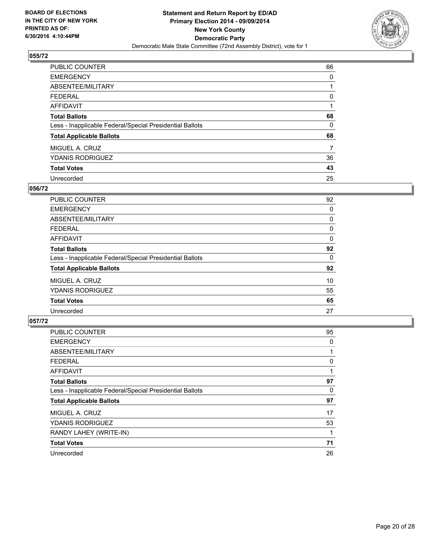

| PUBLIC COUNTER                                           | 66 |
|----------------------------------------------------------|----|
| <b>EMERGENCY</b>                                         | 0  |
| ABSENTEE/MILITARY                                        |    |
| <b>FEDERAL</b>                                           | 0  |
| <b>AFFIDAVIT</b>                                         |    |
| <b>Total Ballots</b>                                     | 68 |
| Less - Inapplicable Federal/Special Presidential Ballots | 0  |
| <b>Total Applicable Ballots</b>                          | 68 |
| MIGUEL A. CRUZ                                           | 7  |
| <b>YDANIS RODRIGUEZ</b>                                  | 36 |
| <b>Total Votes</b>                                       | 43 |
| Unrecorded                                               | 25 |

#### **056/72**

| <b>PUBLIC COUNTER</b>                                    | 92 |
|----------------------------------------------------------|----|
| <b>EMERGENCY</b>                                         | 0  |
| ABSENTEE/MILITARY                                        | 0  |
| <b>FEDERAL</b>                                           | 0  |
| <b>AFFIDAVIT</b>                                         | 0  |
| <b>Total Ballots</b>                                     | 92 |
| Less - Inapplicable Federal/Special Presidential Ballots | 0  |
| <b>Total Applicable Ballots</b>                          | 92 |
| MIGUEL A. CRUZ                                           | 10 |
| <b>YDANIS RODRIGUEZ</b>                                  | 55 |
| <b>Total Votes</b>                                       | 65 |
| Unrecorded                                               | 27 |

| <b>PUBLIC COUNTER</b>                                    | 95 |
|----------------------------------------------------------|----|
| <b>EMERGENCY</b>                                         | 0  |
| ABSENTEE/MILITARY                                        |    |
| <b>FEDERAL</b>                                           | 0  |
| <b>AFFIDAVIT</b>                                         |    |
| <b>Total Ballots</b>                                     | 97 |
| Less - Inapplicable Federal/Special Presidential Ballots | 0  |
| <b>Total Applicable Ballots</b>                          | 97 |
| MIGUEL A. CRUZ                                           | 17 |
| <b>YDANIS RODRIGUEZ</b>                                  | 53 |
| RANDY LAHEY (WRITE-IN)                                   |    |
| <b>Total Votes</b>                                       | 71 |
| Unrecorded                                               | 26 |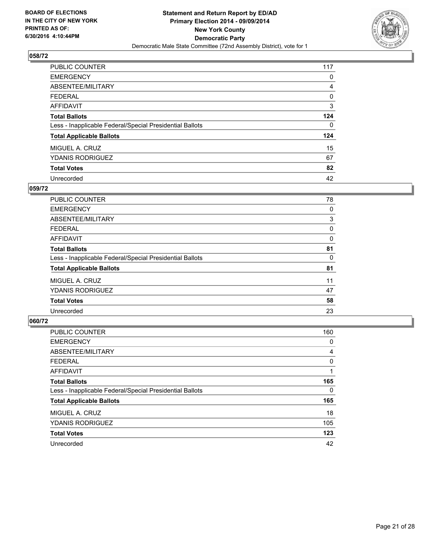

| PUBLIC COUNTER                                           | 117 |
|----------------------------------------------------------|-----|
| <b>EMERGENCY</b>                                         | 0   |
| ABSENTEE/MILITARY                                        | 4   |
| <b>FEDERAL</b>                                           | 0   |
| <b>AFFIDAVIT</b>                                         | 3   |
| <b>Total Ballots</b>                                     | 124 |
| Less - Inapplicable Federal/Special Presidential Ballots | 0   |
| <b>Total Applicable Ballots</b>                          | 124 |
| MIGUEL A. CRUZ                                           | 15  |
| <b>YDANIS RODRIGUEZ</b>                                  | 67  |
| <b>Total Votes</b>                                       | 82  |
| Unrecorded                                               | 42  |

#### **059/72**

| <b>PUBLIC COUNTER</b>                                    | 78 |
|----------------------------------------------------------|----|
| <b>EMERGENCY</b>                                         | 0  |
| ABSENTEE/MILITARY                                        | 3  |
| <b>FEDERAL</b>                                           | 0  |
| <b>AFFIDAVIT</b>                                         | 0  |
| <b>Total Ballots</b>                                     | 81 |
| Less - Inapplicable Federal/Special Presidential Ballots | 0  |
| <b>Total Applicable Ballots</b>                          | 81 |
| MIGUEL A. CRUZ                                           | 11 |
| <b>YDANIS RODRIGUEZ</b>                                  | 47 |
| <b>Total Votes</b>                                       | 58 |
| Unrecorded                                               | 23 |

| PUBLIC COUNTER                                           | 160 |
|----------------------------------------------------------|-----|
| <b>EMERGENCY</b>                                         | 0   |
| ABSENTEE/MILITARY                                        | 4   |
| <b>FEDERAL</b>                                           | 0   |
| <b>AFFIDAVIT</b>                                         |     |
| <b>Total Ballots</b>                                     | 165 |
| Less - Inapplicable Federal/Special Presidential Ballots | 0   |
| <b>Total Applicable Ballots</b>                          | 165 |
| MIGUEL A. CRUZ                                           | 18  |
| <b>YDANIS RODRIGUEZ</b>                                  | 105 |
| <b>Total Votes</b>                                       | 123 |
| Unrecorded                                               | 42  |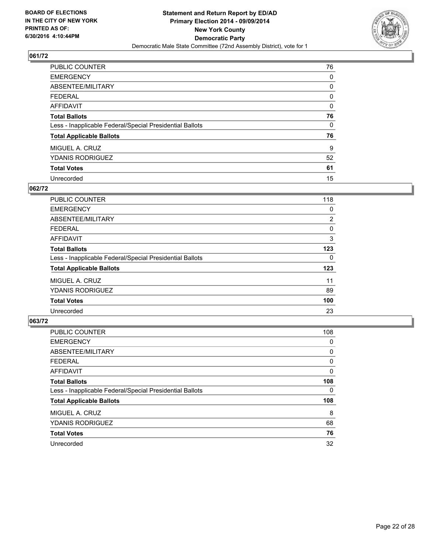

| PUBLIC COUNTER                                           | 76 |
|----------------------------------------------------------|----|
| <b>EMERGENCY</b>                                         | 0  |
| ABSENTEE/MILITARY                                        | 0  |
| <b>FEDERAL</b>                                           | 0  |
| <b>AFFIDAVIT</b>                                         | 0  |
| <b>Total Ballots</b>                                     | 76 |
| Less - Inapplicable Federal/Special Presidential Ballots | 0  |
| <b>Total Applicable Ballots</b>                          | 76 |
| MIGUEL A. CRUZ                                           | 9  |
| <b>YDANIS RODRIGUEZ</b>                                  | 52 |
| <b>Total Votes</b>                                       | 61 |
| Unrecorded                                               | 15 |

#### **062/72**

| <b>PUBLIC COUNTER</b>                                    | 118            |
|----------------------------------------------------------|----------------|
| <b>EMERGENCY</b>                                         | 0              |
| ABSENTEE/MILITARY                                        | $\overline{2}$ |
| FEDERAL                                                  | 0              |
| AFFIDAVIT                                                | 3              |
| <b>Total Ballots</b>                                     | 123            |
| Less - Inapplicable Federal/Special Presidential Ballots | 0              |
| <b>Total Applicable Ballots</b>                          | 123            |
| MIGUEL A. CRUZ                                           | 11             |
| <b>YDANIS RODRIGUEZ</b>                                  | 89             |
| <b>Total Votes</b>                                       | 100            |
| Unrecorded                                               | 23             |

| PUBLIC COUNTER                                           | 108 |
|----------------------------------------------------------|-----|
| <b>EMERGENCY</b>                                         | 0   |
| ABSENTEE/MILITARY                                        | 0   |
| <b>FEDERAL</b>                                           | 0   |
| <b>AFFIDAVIT</b>                                         | 0   |
| <b>Total Ballots</b>                                     | 108 |
| Less - Inapplicable Federal/Special Presidential Ballots | 0   |
| <b>Total Applicable Ballots</b>                          | 108 |
| MIGUEL A. CRUZ                                           | 8   |
| <b>YDANIS RODRIGUEZ</b>                                  | 68  |
| <b>Total Votes</b>                                       | 76  |
| Unrecorded                                               | 32  |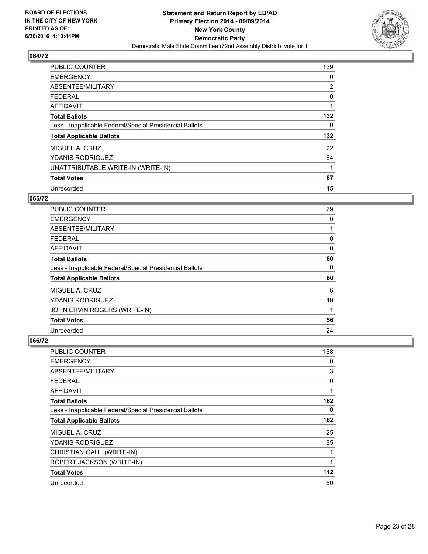

| <b>PUBLIC COUNTER</b>                                    | 129 |
|----------------------------------------------------------|-----|
| <b>EMERGENCY</b>                                         | 0   |
| ABSENTEE/MILITARY                                        | 2   |
| <b>FEDERAL</b>                                           | 0   |
| <b>AFFIDAVIT</b>                                         |     |
| <b>Total Ballots</b>                                     | 132 |
| Less - Inapplicable Federal/Special Presidential Ballots | 0   |
| <b>Total Applicable Ballots</b>                          | 132 |
| MIGUEL A. CRUZ                                           | 22  |
| <b>YDANIS RODRIGUEZ</b>                                  | 64  |
| UNATTRIBUTABLE WRITE-IN (WRITE-IN)                       |     |
| <b>Total Votes</b>                                       | 87  |
| Unrecorded                                               | 45  |

#### **065/72**

| <b>PUBLIC COUNTER</b>                                    | 79 |
|----------------------------------------------------------|----|
| <b>EMERGENCY</b>                                         | 0  |
| ABSENTEE/MILITARY                                        |    |
| FEDERAL                                                  | 0  |
| <b>AFFIDAVIT</b>                                         | 0  |
| <b>Total Ballots</b>                                     | 80 |
| Less - Inapplicable Federal/Special Presidential Ballots | 0  |
| <b>Total Applicable Ballots</b>                          | 80 |
| MIGUEL A. CRUZ                                           | 6  |
| <b>YDANIS RODRIGUEZ</b>                                  | 49 |
| JOHN ERVIN ROGERS (WRITE-IN)                             | 1  |
| <b>Total Votes</b>                                       | 56 |
| Unrecorded                                               | 24 |

| <b>PUBLIC COUNTER</b>                                    | 158 |
|----------------------------------------------------------|-----|
| <b>EMERGENCY</b>                                         | 0   |
| ABSENTEE/MILITARY                                        | 3   |
| <b>FEDERAL</b>                                           | 0   |
| AFFIDAVIT                                                | 1   |
| <b>Total Ballots</b>                                     | 162 |
| Less - Inapplicable Federal/Special Presidential Ballots | 0   |
| <b>Total Applicable Ballots</b>                          | 162 |
| MIGUEL A. CRUZ                                           | 25  |
| <b>YDANIS RODRIGUEZ</b>                                  | 85  |
| CHRISTIAN GAUL (WRITE-IN)                                | 1   |
| ROBERT JACKSON (WRITE-IN)                                | 1   |
| <b>Total Votes</b>                                       | 112 |
| Unrecorded                                               | 50  |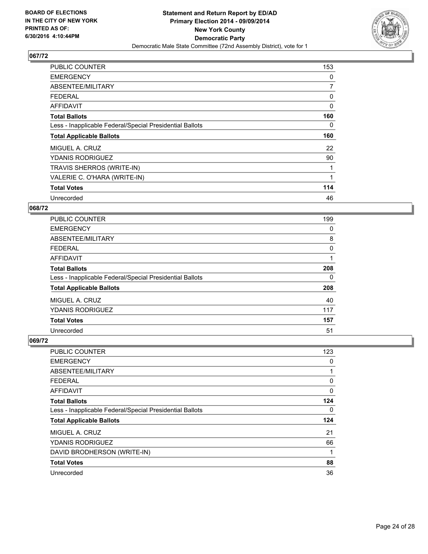

| <b>PUBLIC COUNTER</b>                                    | 153            |
|----------------------------------------------------------|----------------|
| <b>EMERGENCY</b>                                         | 0              |
| ABSENTEE/MILITARY                                        | $\overline{7}$ |
| <b>FEDERAL</b>                                           | 0              |
| AFFIDAVIT                                                | 0              |
| <b>Total Ballots</b>                                     | 160            |
| Less - Inapplicable Federal/Special Presidential Ballots | 0              |
|                                                          |                |
| <b>Total Applicable Ballots</b>                          | 160            |
| MIGUEL A. CRUZ                                           | 22             |
| <b>YDANIS RODRIGUEZ</b>                                  | 90             |
| TRAVIS SHERROS (WRITE-IN)                                |                |
| VALERIE C. O'HARA (WRITE-IN)                             | 1              |
| <b>Total Votes</b>                                       | 114            |

## **068/72**

| <b>PUBLIC COUNTER</b>                                    | 199      |
|----------------------------------------------------------|----------|
| <b>EMERGENCY</b>                                         | 0        |
| ABSENTEE/MILITARY                                        | 8        |
| <b>FEDERAL</b>                                           | $\Omega$ |
| AFFIDAVIT                                                |          |
| <b>Total Ballots</b>                                     | 208      |
| Less - Inapplicable Federal/Special Presidential Ballots | 0        |
| <b>Total Applicable Ballots</b>                          | 208      |
| MIGUEL A. CRUZ                                           | 40       |
| <b>YDANIS RODRIGUEZ</b>                                  | 117      |
| <b>Total Votes</b>                                       | 157      |
| Unrecorded                                               | 51       |

| PUBLIC COUNTER                                           | 123 |
|----------------------------------------------------------|-----|
| <b>EMERGENCY</b>                                         | 0   |
| ABSENTEE/MILITARY                                        | 1   |
| <b>FEDERAL</b>                                           | 0   |
| <b>AFFIDAVIT</b>                                         | 0   |
| <b>Total Ballots</b>                                     | 124 |
| Less - Inapplicable Federal/Special Presidential Ballots | 0   |
| <b>Total Applicable Ballots</b>                          | 124 |
| MIGUEL A. CRUZ                                           | 21  |
| <b>YDANIS RODRIGUEZ</b>                                  | 66  |
| DAVID BRODHERSON (WRITE-IN)                              | 1   |
| <b>Total Votes</b>                                       | 88  |
| Unrecorded                                               | 36  |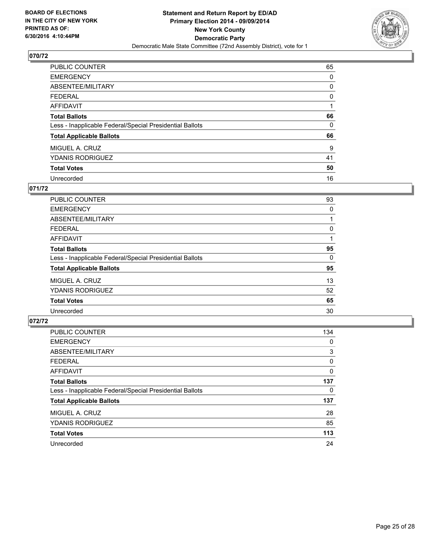

| <b>PUBLIC COUNTER</b>                                    | 65 |
|----------------------------------------------------------|----|
| <b>EMERGENCY</b>                                         | 0  |
| ABSENTEE/MILITARY                                        | 0  |
| <b>FEDERAL</b>                                           | 0  |
| AFFIDAVIT                                                |    |
| <b>Total Ballots</b>                                     | 66 |
| Less - Inapplicable Federal/Special Presidential Ballots | 0  |
| <b>Total Applicable Ballots</b>                          | 66 |
| MIGUEL A. CRUZ                                           | 9  |
| <b>YDANIS RODRIGUEZ</b>                                  | 41 |
| <b>Total Votes</b>                                       | 50 |
| Unrecorded                                               | 16 |

#### **071/72**

| <b>PUBLIC COUNTER</b>                                    | 93 |
|----------------------------------------------------------|----|
| <b>EMERGENCY</b>                                         | 0  |
| ABSENTEE/MILITARY                                        |    |
| <b>FEDERAL</b>                                           | 0  |
| <b>AFFIDAVIT</b>                                         |    |
| <b>Total Ballots</b>                                     | 95 |
| Less - Inapplicable Federal/Special Presidential Ballots | 0  |
| <b>Total Applicable Ballots</b>                          | 95 |
| MIGUEL A. CRUZ                                           | 13 |
| <b>YDANIS RODRIGUEZ</b>                                  | 52 |
| <b>Total Votes</b>                                       | 65 |
| Unrecorded                                               | 30 |
|                                                          |    |

| PUBLIC COUNTER                                           | 134 |
|----------------------------------------------------------|-----|
| <b>EMERGENCY</b>                                         | 0   |
| ABSENTEE/MILITARY                                        | 3   |
| <b>FEDERAL</b>                                           | 0   |
| <b>AFFIDAVIT</b>                                         | 0   |
| <b>Total Ballots</b>                                     | 137 |
| Less - Inapplicable Federal/Special Presidential Ballots | 0   |
| <b>Total Applicable Ballots</b>                          | 137 |
| MIGUEL A. CRUZ                                           | 28  |
| <b>YDANIS RODRIGUEZ</b>                                  | 85  |
| <b>Total Votes</b>                                       | 113 |
| Unrecorded                                               | 24  |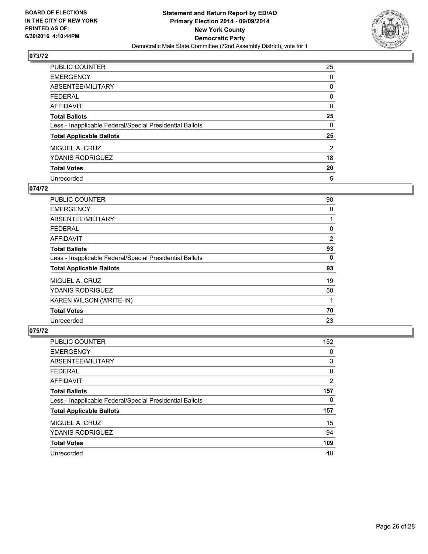

| <b>PUBLIC COUNTER</b>                                    | 25             |
|----------------------------------------------------------|----------------|
| <b>EMERGENCY</b>                                         | 0              |
| ABSENTEE/MILITARY                                        | 0              |
| <b>FEDERAL</b>                                           | 0              |
| AFFIDAVIT                                                | 0              |
| <b>Total Ballots</b>                                     | 25             |
| Less - Inapplicable Federal/Special Presidential Ballots | 0              |
| <b>Total Applicable Ballots</b>                          | 25             |
| MIGUEL A. CRUZ                                           | $\overline{2}$ |
| <b>YDANIS RODRIGUEZ</b>                                  | 18             |
| <b>Total Votes</b>                                       | 20             |
| Unrecorded                                               | 5              |

#### **074/72**

| <b>PUBLIC COUNTER</b>                                    | 90 |
|----------------------------------------------------------|----|
| <b>EMERGENCY</b>                                         | 0  |
| ABSENTEE/MILITARY                                        |    |
| <b>FEDERAL</b>                                           | 0  |
| AFFIDAVIT                                                | 2  |
| <b>Total Ballots</b>                                     | 93 |
| Less - Inapplicable Federal/Special Presidential Ballots | 0  |
| <b>Total Applicable Ballots</b>                          | 93 |
| MIGUEL A. CRUZ                                           | 19 |
| <b>YDANIS RODRIGUEZ</b>                                  | 50 |
| KAREN WILSON (WRITE-IN)                                  | 1  |
| <b>Total Votes</b>                                       | 70 |
| Unrecorded                                               | 23 |

| <b>PUBLIC COUNTER</b>                                    | 152 |
|----------------------------------------------------------|-----|
| <b>EMERGENCY</b>                                         | 0   |
| ABSENTEE/MILITARY                                        | 3   |
| <b>FEDERAL</b>                                           | 0   |
| AFFIDAVIT                                                | 2   |
| <b>Total Ballots</b>                                     | 157 |
| Less - Inapplicable Federal/Special Presidential Ballots | 0   |
| <b>Total Applicable Ballots</b>                          | 157 |
| MIGUEL A. CRUZ                                           | 15  |
| <b>YDANIS RODRIGUEZ</b>                                  | 94  |
| <b>Total Votes</b>                                       | 109 |
| Unrecorded                                               | 48  |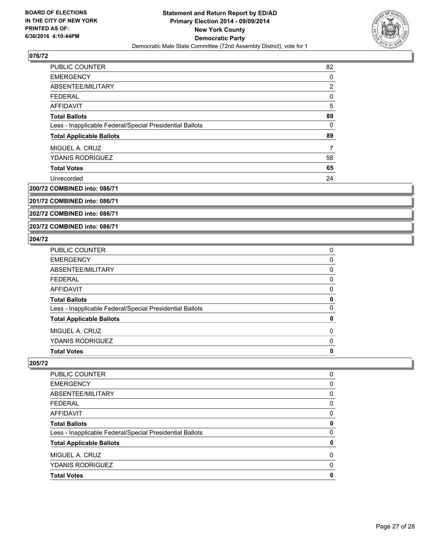

| <b>PUBLIC COUNTER</b>                                    | 82             |
|----------------------------------------------------------|----------------|
| <b>EMERGENCY</b>                                         | 0              |
| ABSENTEE/MILITARY                                        | $\overline{2}$ |
| <b>FEDERAL</b>                                           | 0              |
| AFFIDAVIT                                                | 5              |
| <b>Total Ballots</b>                                     | 89             |
| Less - Inapplicable Federal/Special Presidential Ballots | $\Omega$       |
| <b>Total Applicable Ballots</b>                          | 89             |
| MIGUEL A. CRUZ                                           | 7              |
| <b>YDANIS RODRIGUEZ</b>                                  | 58             |
| <b>Total Votes</b>                                       | 65             |
| Unrecorded                                               | 24             |

**200/72 COMBINED into: 086/71**

**201/72 COMBINED into: 086/71**

**202/72 COMBINED into: 086/71**

**203/72 COMBINED into: 086/71**

## **204/72**

| <b>Total Votes</b>                                       | 0 |
|----------------------------------------------------------|---|
| <b>YDANIS RODRIGUEZ</b>                                  | 0 |
| MIGUEL A. CRUZ                                           | 0 |
| <b>Total Applicable Ballots</b>                          | 0 |
| Less - Inapplicable Federal/Special Presidential Ballots | 0 |
| <b>Total Ballots</b>                                     | 0 |
| <b>AFFIDAVIT</b>                                         | 0 |
| <b>FEDERAL</b>                                           | 0 |
| ABSENTEE/MILITARY                                        | 0 |
| <b>EMERGENCY</b>                                         | 0 |
| PUBLIC COUNTER                                           | 0 |

| <b>PUBLIC COUNTER</b>                                    | 0 |
|----------------------------------------------------------|---|
| <b>EMERGENCY</b>                                         | 0 |
| ABSENTEE/MILITARY                                        | 0 |
| <b>FEDERAL</b>                                           | 0 |
| AFFIDAVIT                                                | 0 |
| <b>Total Ballots</b>                                     | 0 |
| Less - Inapplicable Federal/Special Presidential Ballots | 0 |
| <b>Total Applicable Ballots</b>                          | 0 |
| MIGUEL A. CRUZ                                           | 0 |
| <b>YDANIS RODRIGUEZ</b>                                  | 0 |
| <b>Total Votes</b>                                       | 0 |